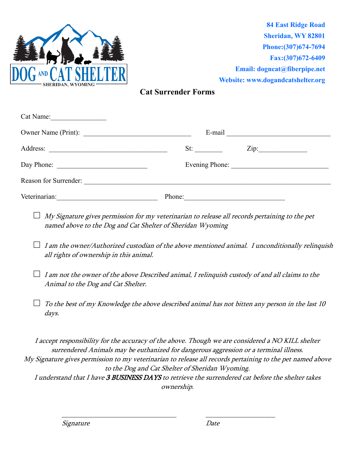

**84 East Ridge Road Sheridan, WY 82801 Phone:(307)674-7694 Fax:(307)672-6409 Email: [dogncat@fiberpipe.net](mailto:dogncat@fiberpipe.net) Website: [www.dogandcatshelter.org](http://www.dogandcatshelter.org/)**

## **Cat Surrender Forms**

| Cat Name:             |                |  |  |  |
|-----------------------|----------------|--|--|--|
| Owner Name (Print):   | E-mail         |  |  |  |
| Address:              | Zip:<br>St:    |  |  |  |
|                       | Evening Phone: |  |  |  |
| Reason for Surrender: |                |  |  |  |
| Veterinarian:         | Phone:         |  |  |  |

- □ *My Signature gives permission for my veterinarian to release all records pertaining to the pet* named above to the Dog and Cat Shelter of Sheridan Wyoming
- **□** I am the owner/Authorized custodian of the above mentioned animal. I unconditionally relinquish all rights of ownership in this animal.
- **□** I am not the owner of the above Described animal, I relinquish custody of and all claims to the Animal to the Dog and Cat Shelter.
- $\Box$  To the best of my Knowledge the above described animal has not bitten any person in the last 10 days.

I accept responsibility for the accuracy of the above. Though we are considered a NO KILL shelter surrendered Animals may be euthanized for dangerous aggression or a terminal illness. My Signature gives permission to my veterinarian to release all records pertaining to the pet named above to the Dog and Cat Shelter of Sheridan Wyoming. I understand that I have 3 BUSINESS DAYS to retrieve the surrendered cat before the shelter takes ownership.

\_\_\_\_\_\_\_\_\_\_\_\_\_\_\_\_\_\_\_\_\_\_\_\_\_\_\_\_\_\_\_\_\_ \_\_\_\_\_\_\_\_\_\_\_\_\_\_\_\_\_\_\_\_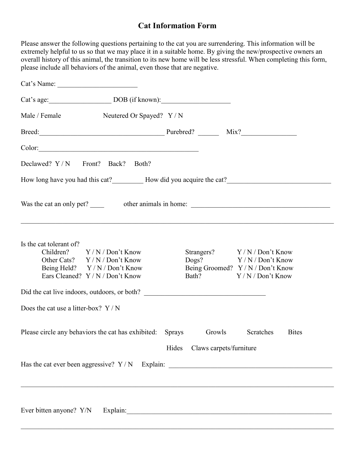## **Cat Information Form**

Please answer the following questions pertaining to the cat you are surrendering. This information will be extremely helpful to us so that we may place it in a suitable home. By giving the new/prospective owners an overall history of this animal, the transition to its new home will be less stressful. When completing this form, please include all behaviors of the animal, even those that are negative.

| Cat's Name:                                                                                                                                                            |                                            |                                                                                                                   |
|------------------------------------------------------------------------------------------------------------------------------------------------------------------------|--------------------------------------------|-------------------------------------------------------------------------------------------------------------------|
| Cat's age: DOB (if known):                                                                                                                                             |                                            |                                                                                                                   |
| Male / Female Neutered Or Spayed? Y / N                                                                                                                                |                                            |                                                                                                                   |
| Breed: Purebred? Mix?                                                                                                                                                  |                                            |                                                                                                                   |
|                                                                                                                                                                        |                                            |                                                                                                                   |
| Declawed? Y/N Front? Back? Both?                                                                                                                                       |                                            |                                                                                                                   |
|                                                                                                                                                                        |                                            |                                                                                                                   |
| Was the cat an only pet? ______ other animals in home: __________________________<br>,我们也不能在这里,我们也不能在这里,我们也不能不能不能不能不能不能不能不能不能不能不能不能不能不能。""我们,我们也不能不能不能不能不能不能不能不能不能不能不能 |                                            |                                                                                                                   |
| Is the cat tolerant of?<br>Children? $Y/N/D$ on't Know<br>Other Cats? Y/N/Don't Know<br>Being Held? Y / N / Don't Know<br>Ears Cleaned? Y / N / Don't Know             |                                            | Strangers? Y/N/Don't Know<br>Dogs? $Y/N/D$ on't Know<br>Being Groomed? Y / N / Don't Know<br>Bath? Y/N/Don't Know |
|                                                                                                                                                                        |                                            |                                                                                                                   |
| Does the cat use a litter-box? $Y/N$                                                                                                                                   |                                            |                                                                                                                   |
| Please circle any behaviors the cat has exhibited: Sprays                                                                                                              | Growls<br>Claws carpets/furniture<br>Hides | Scratches<br><b>Bites</b>                                                                                         |
| Has the cat ever been aggressive? Y/N Explain: _________________________________                                                                                       |                                            |                                                                                                                   |
|                                                                                                                                                                        |                                            |                                                                                                                   |
|                                                                                                                                                                        |                                            |                                                                                                                   |

 $\mathcal{L}_\mathcal{L} = \mathcal{L}_\mathcal{L} = \mathcal{L}_\mathcal{L} = \mathcal{L}_\mathcal{L} = \mathcal{L}_\mathcal{L} = \mathcal{L}_\mathcal{L} = \mathcal{L}_\mathcal{L} = \mathcal{L}_\mathcal{L} = \mathcal{L}_\mathcal{L} = \mathcal{L}_\mathcal{L} = \mathcal{L}_\mathcal{L} = \mathcal{L}_\mathcal{L} = \mathcal{L}_\mathcal{L} = \mathcal{L}_\mathcal{L} = \mathcal{L}_\mathcal{L} = \mathcal{L}_\mathcal{L} = \mathcal{L}_\mathcal{L}$